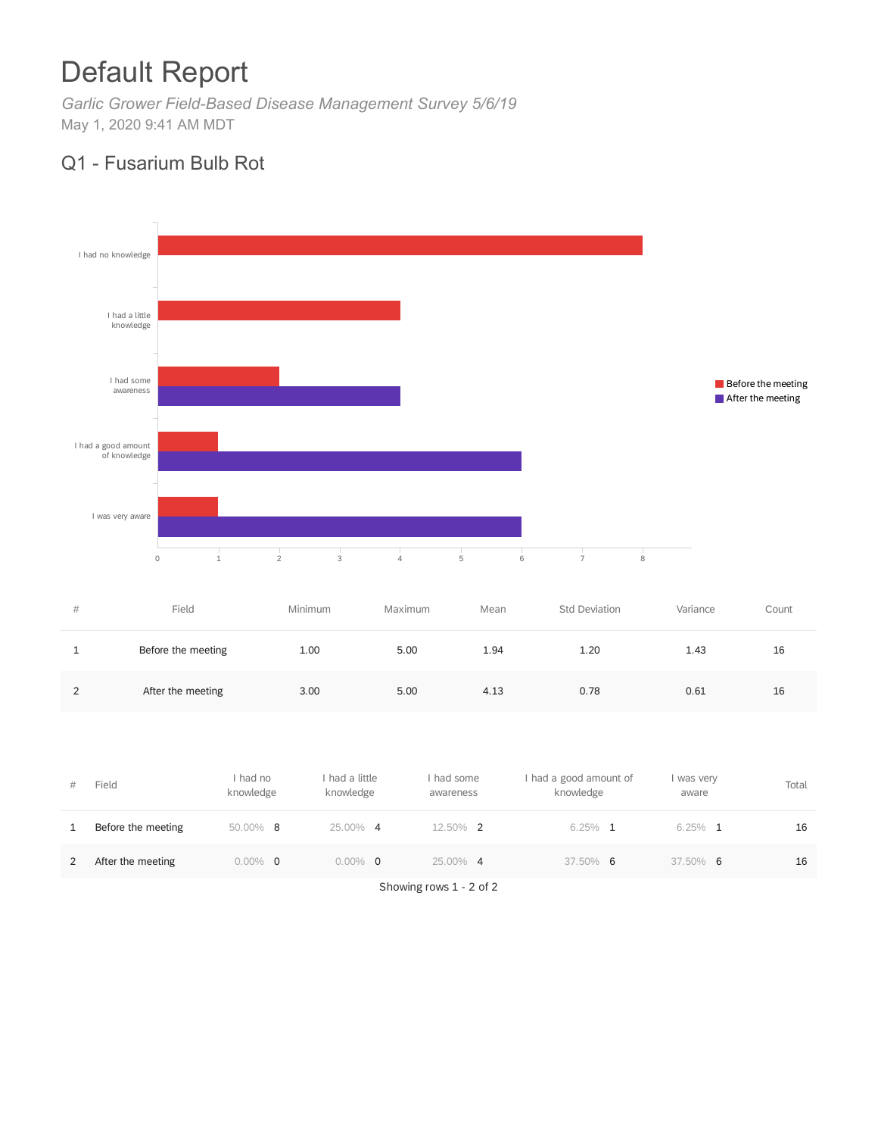# Default Report

*Garlic Grower Field-Based Disease Management Survey 5/6/19* May 1, 2020 9:41 AM MDT

## Q1 - Fusarium Bulb Rot



| #        | Field              | Minimum | Maximum | Mean | Std Deviation | Variance | Count |
|----------|--------------------|---------|---------|------|---------------|----------|-------|
| <b>.</b> | Before the meeting | 1.00    | 5.00    | 1.94 | 1.20          | 1.43     | 16    |
|          | After the meeting  | 3.00    | 5.00    | 4.13 | 0.78          | 0.61     | 16    |

| # | Field              | had no<br>knowledge | had a little<br>knowledge | had some<br>awareness | I had a good amount of<br>knowledge | I was very<br>aware | Total |
|---|--------------------|---------------------|---------------------------|-----------------------|-------------------------------------|---------------------|-------|
|   | Before the meeting | 50.00% 8            | 25.00% 4                  | 12.50% 2              | $6.25\%$ 1                          | $6.25\%$ 1          | 16    |
|   | After the meeting  | $0.00\%$ 0          | $0.00\%$<br>- 0           | 25.00% 4              | 37.50% 6                            | 37.50% 6            | 16    |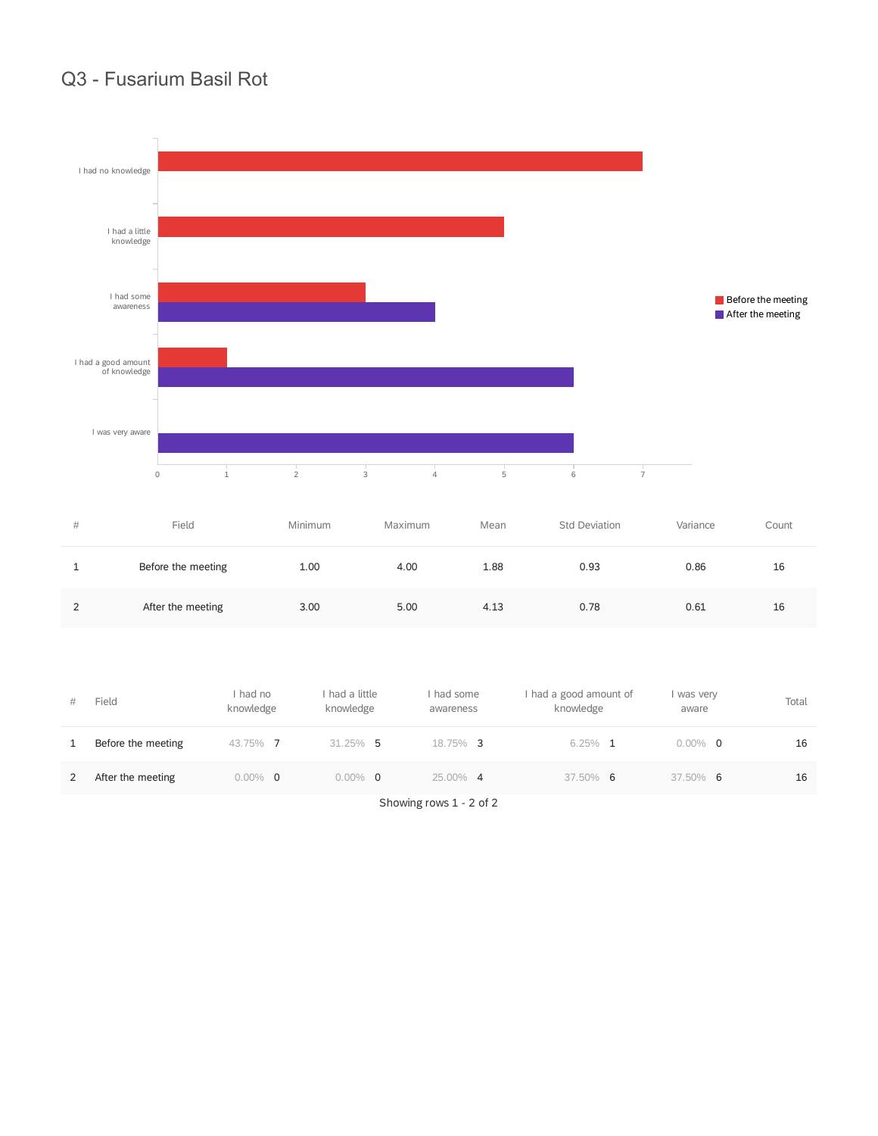#### Q3 - Fusarium Basil Rot



| #             | Field              | Minimum | Maximum | Mean | <b>Std Deviation</b> | Variance | Count |
|---------------|--------------------|---------|---------|------|----------------------|----------|-------|
|               | Before the meeting | 1.00    | 4.00    | 1.88 | 0.93                 | 0.86     | 16    |
| $\mathcal{D}$ | After the meeting  | 3.00    | 5.00    | 4.13 | 0.78                 | 0.61     | 16    |

| #            | Field              | had no<br>knowledge | I had a little<br>knowledge | had some<br>awareness | I had a good amount of<br>knowledge | I was very<br>aware | Total |
|--------------|--------------------|---------------------|-----------------------------|-----------------------|-------------------------------------|---------------------|-------|
| $\mathbf{1}$ | Before the meeting | 43.75% 7            | $31.25\%$ 5                 | 18.75% 3              | $6.25\%$ 1                          | $0.00\%$ 0          | 16    |
| 2            | After the meeting  | $0.00\%$ 0          | $0.00\%$ 0                  | 25.00% 4              | $37.50\%$ 6                         | $37.50\%$ 6         | 16    |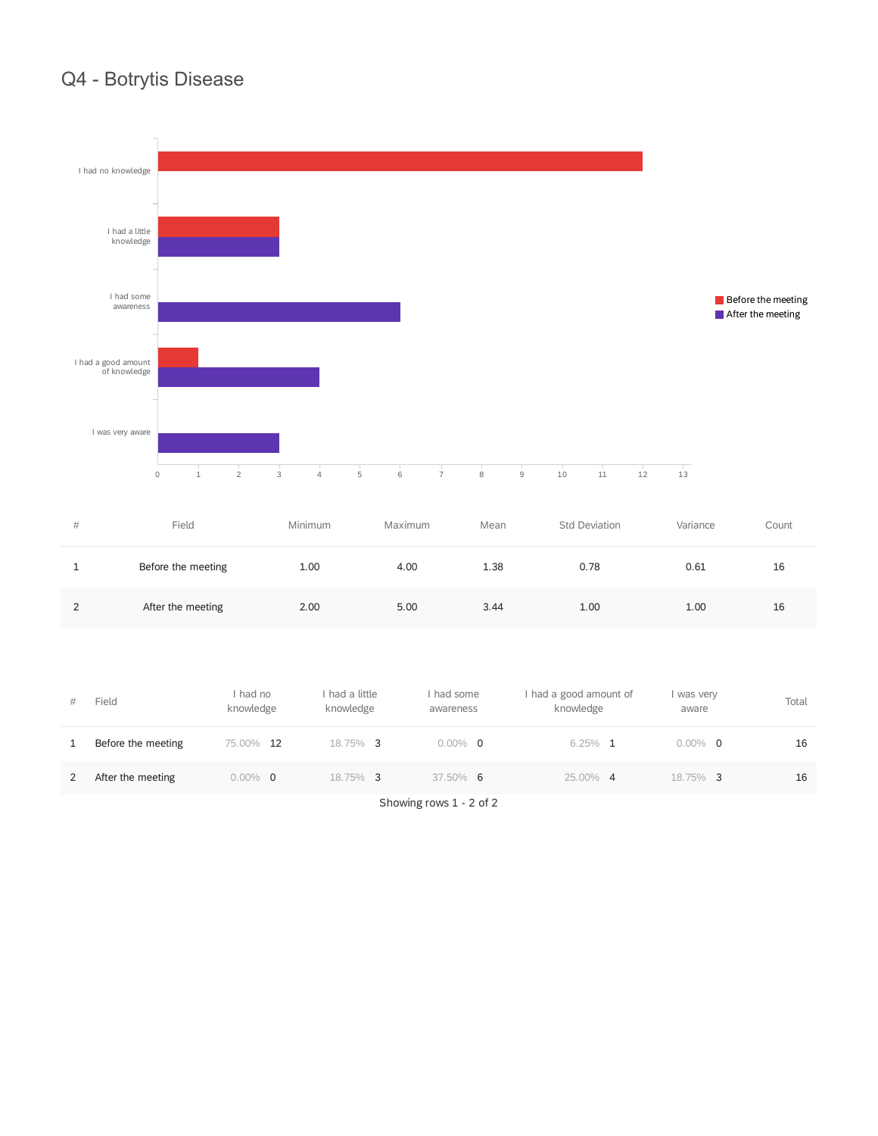# Q4 - Botrytis Disease



| # | Field              | Minimum | Maximum | Mean | Std Deviation | Variance | Count |
|---|--------------------|---------|---------|------|---------------|----------|-------|
|   | Before the meeting | 1.00    | 4.00    | 1.38 | 0.78          | 0.61     | 16    |
| っ | After the meeting  | 2.00    | 5.00    | 3.44 | 1.00          | 1.00     | 16    |

| #            | Field              | had no<br>knowledge | I had a little<br>knowledge | had some<br>awareness | I had a good amount of<br>knowledge | I was very<br>aware | Total |
|--------------|--------------------|---------------------|-----------------------------|-----------------------|-------------------------------------|---------------------|-------|
| $\mathbf{1}$ | Before the meeting | 75.00% 12           | 18.75% 3                    | $0.00\%$ 0            | $6.25\%$ 1                          | $0.00\%$ 0          | 16    |
| 2            | After the meeting  | $0.00\%$ 0          | 18.75% 3                    | $37.50\%$ 6           | 25.00% 4                            | 18.75% 3            | 16    |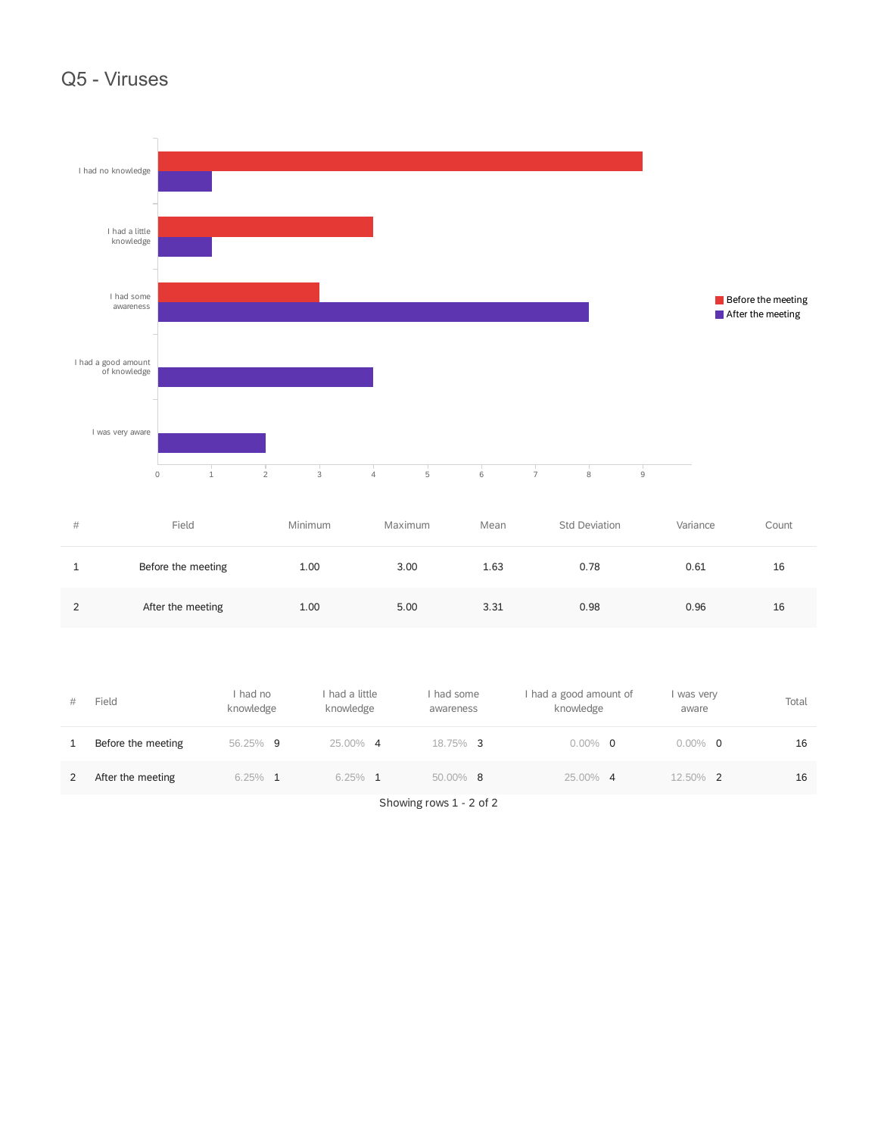#### Q5 - Viruses



| #        | Field              | Minimum | Maximum | Mean | Std Deviation | Variance | Count |
|----------|--------------------|---------|---------|------|---------------|----------|-------|
| <b>.</b> | Before the meeting | 1.00    | 3.00    | 1.63 | 0.78          | 0.61     | 16    |
| 2        | After the meeting  | 1.00    | 5.00    | 3.31 | 0.98          | 0.96     | 16    |

| #            | Field              | had no<br>knowledge | I had a little<br>knowledge | had some<br>awareness | I had a good amount of<br>knowledge | I was very<br>aware | Total |
|--------------|--------------------|---------------------|-----------------------------|-----------------------|-------------------------------------|---------------------|-------|
| $\mathbf{1}$ | Before the meeting | 56.25%<br>-9        | 25.00% 4                    | 18.75% 3              | $0.00\%$ 0                          | $0.00\%$ 0          | 16    |
| 2            | After the meeting  | $6.25\%$ 1          | $6.25\%$ 1                  | $50.00\%$ 8           | 25.00% 4                            | 12.50% 2            | 16    |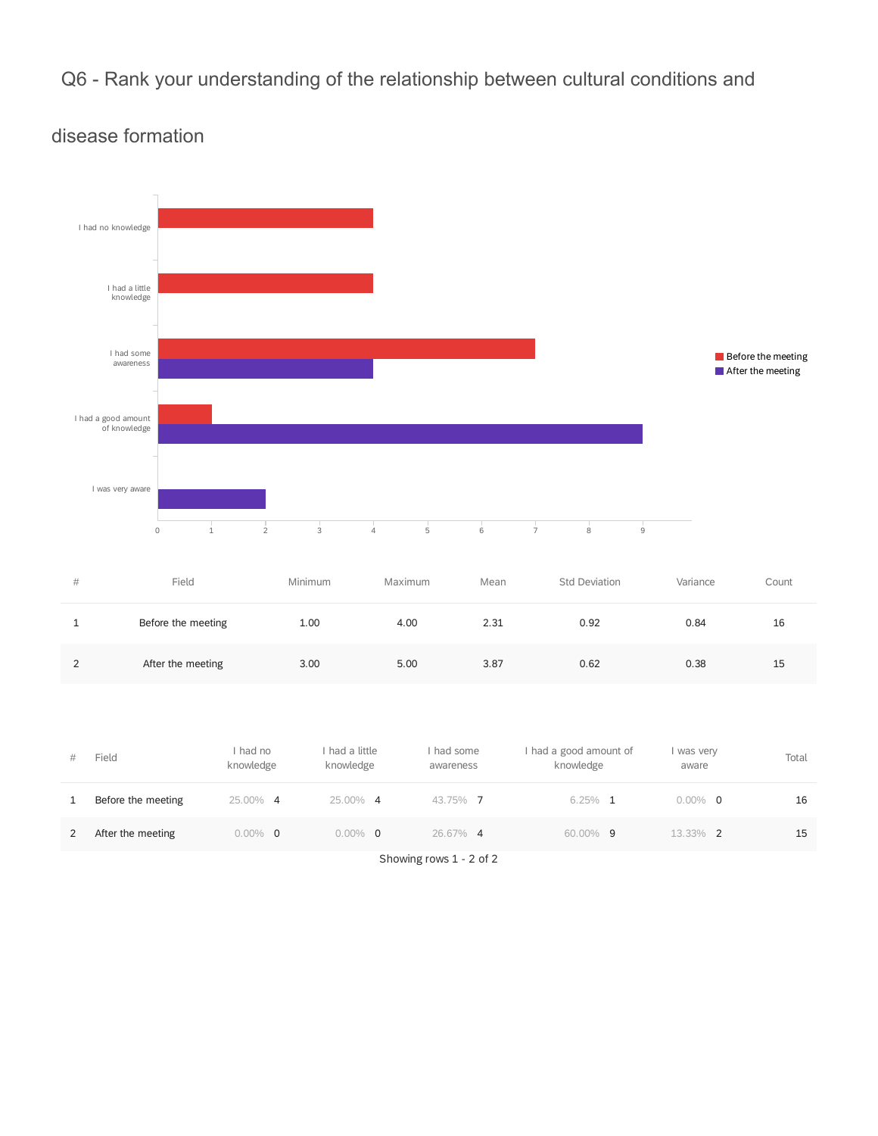# Q6 - Rank your understanding of the relationship between cultural conditions and



### disease formation

| #             | Field              | Minimum | Maximum | Mean | Std Deviation | Variance | Count |
|---------------|--------------------|---------|---------|------|---------------|----------|-------|
|               | Before the meeting | 1.00    | 4.00    | 2.31 | 0.92          | 0.84     | 16    |
| $\mathcal{P}$ | After the meeting  | 3.00    | 5.00    | 3.87 | 0.62          | 0.38     | 15    |

| #            | Field              | had no<br>knowledge | had a little<br>knowledge | had some<br>awareness | I had a good amount of<br>knowledge | was very<br>aware | Total |
|--------------|--------------------|---------------------|---------------------------|-----------------------|-------------------------------------|-------------------|-------|
| $\mathbf{1}$ | Before the meeting | 25.00% 4            | 25.00% 4                  | 43.75% 7              | $6.25\%$ 1                          | $0.00\%$ 0        | 16    |
| 2            | After the meeting  | $0.00\%$ 0          | $0.00\%$ 0                | 26.67% 4              | 60.00% 9                            | 13.33% 2          | 15    |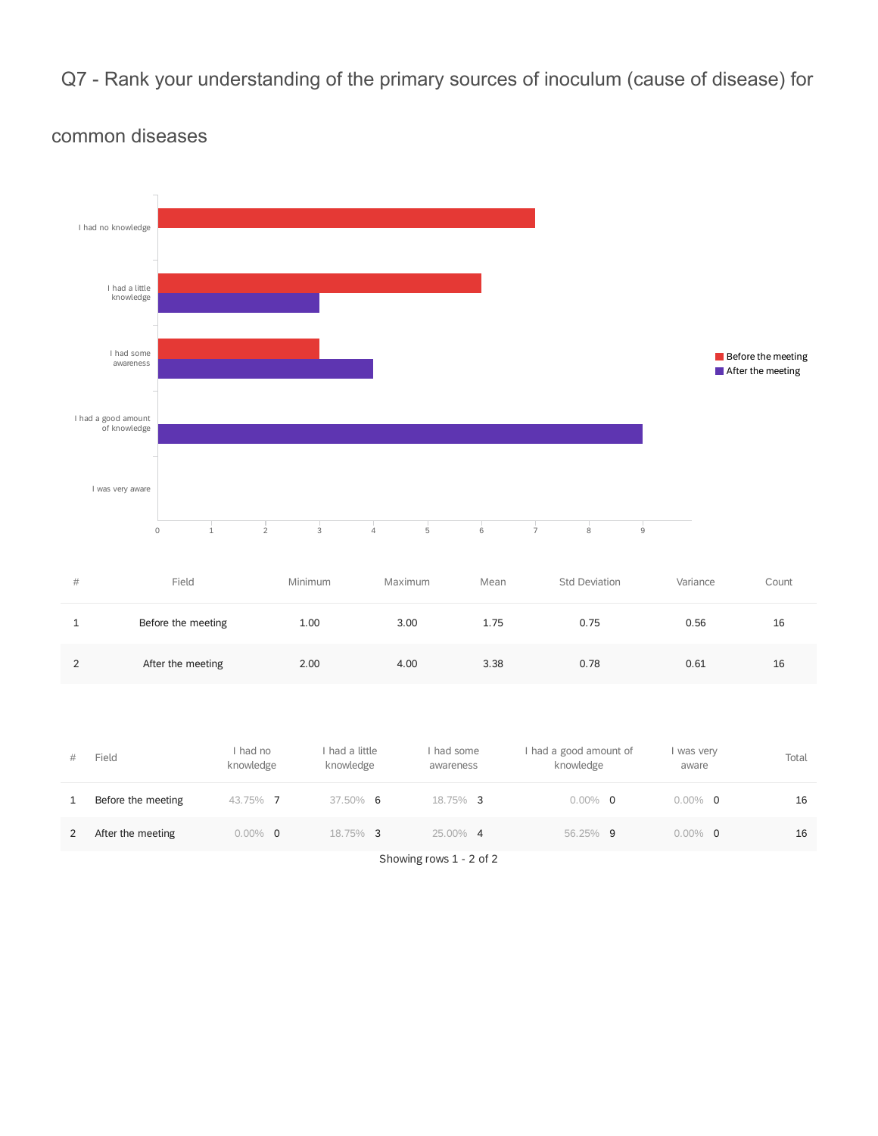Q7 - Rank your understanding of the primary sources of inoculum (cause of disease) for



#### common diseases

| #             | Field              | Minimum | Maximum | Mean | <b>Std Deviation</b> | Variance | Count |
|---------------|--------------------|---------|---------|------|----------------------|----------|-------|
|               | Before the meeting | 1.00    | 3.00    | 1.75 | 0.75                 | 0.56     | 16    |
| $\mathcal{D}$ | After the meeting  | 2.00    | 4.00    | 3.38 | 0.78                 | 0.61     | 16    |

| #            | Field              | I had no<br>knowledge | had a little<br>knowledge | had some<br>awareness | had a good amount of<br>knowledge | I was very<br>aware | Total |
|--------------|--------------------|-----------------------|---------------------------|-----------------------|-----------------------------------|---------------------|-------|
| $\mathbf{1}$ | Before the meeting | 43.75% 7              | 37.50% 6                  | 18.75% 3              | $0.00\%$ 0                        | $0.00\%$ 0          | 16    |
| 2            | After the meeting  | $0.00\%$ 0            | 18.75% 3                  | 25.00% 4              | 56.25% 9                          | $0.00\%$ 0          | 16    |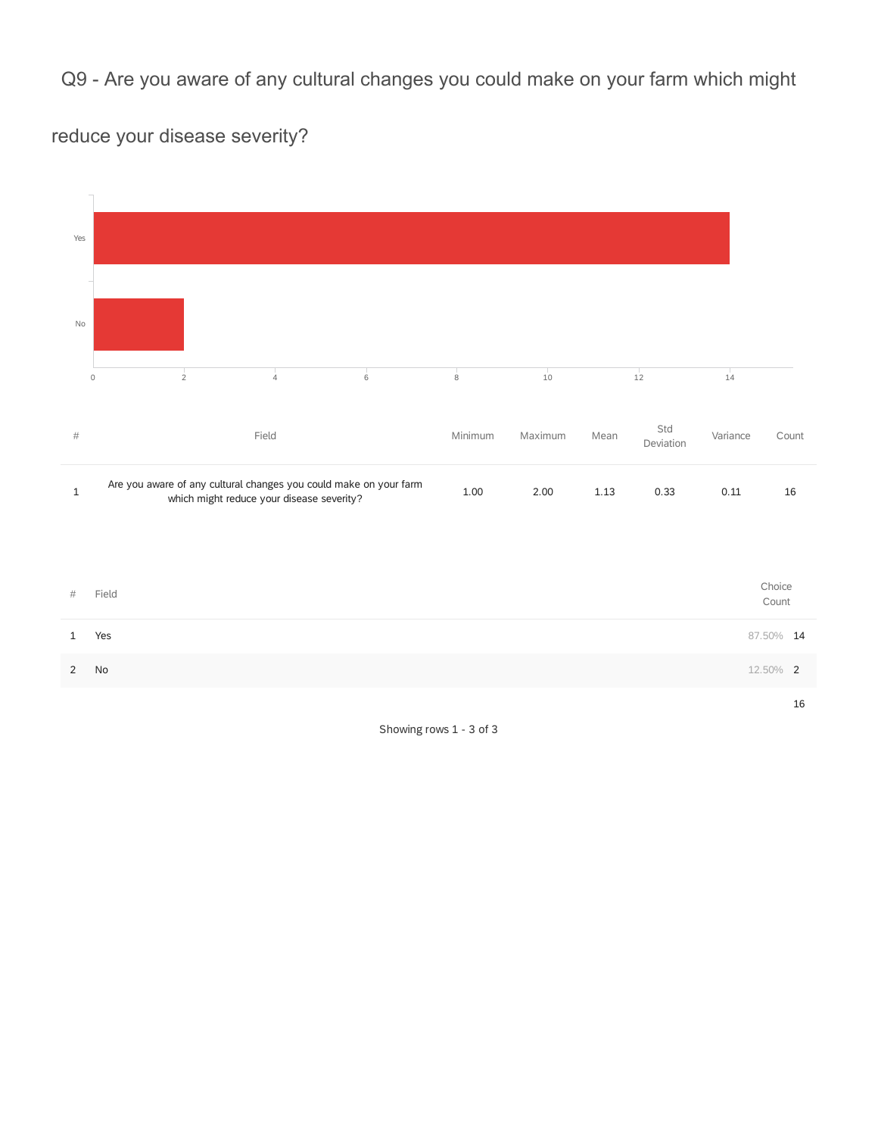Q9 - Are you aware of any cultural changes you could make on your farm which might

reduce your disease severity?

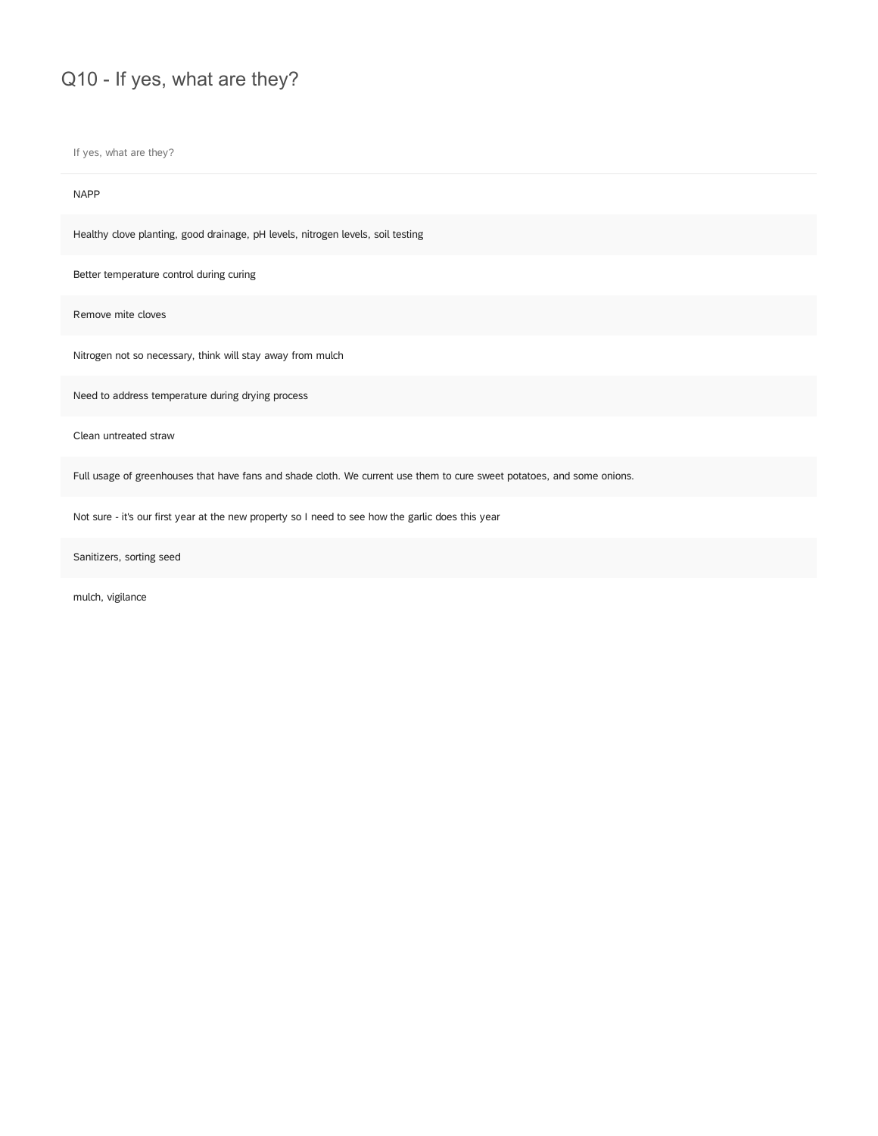# Q10 - If yes, what are they?

If yes, what are they?

#### NAPP

Healthy clove planting, good drainage, pH levels, nitrogen levels, soil testing

Better temperature control during curing

Remove mite cloves

Nitrogen not so necessary, think will stay away from mulch

Need to address temperature during drying process

Clean untreated straw

Full usage of greenhouses that have fans and shade cloth. We current use them to cure sweet potatoes, and some onions.

Not sure - it's our first year at the new property so I need to see how the garlic does this year

Sanitizers, sorting seed

mulch, vigilance